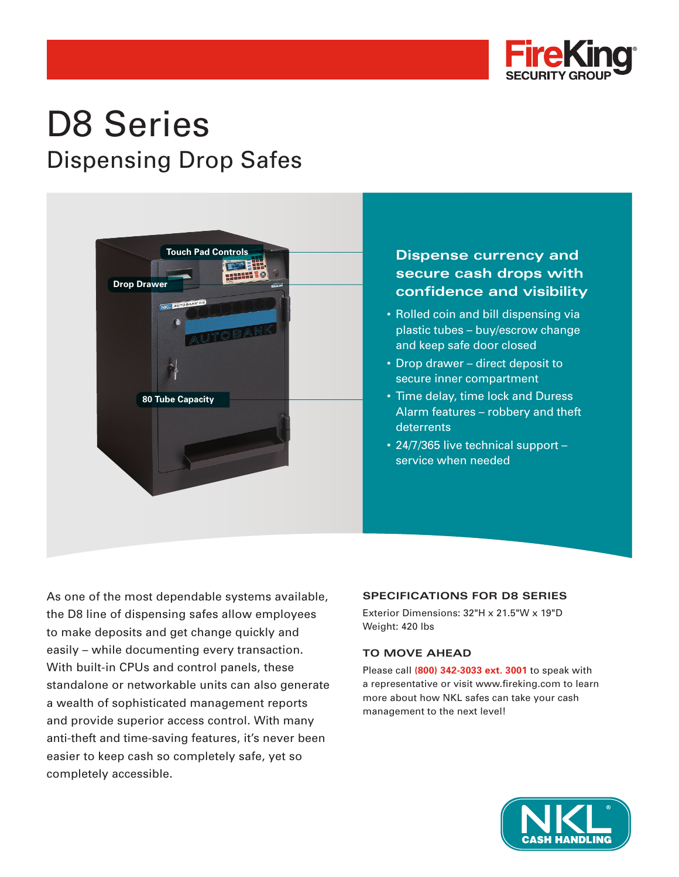

# D8 Series Dispensing Drop Safes



## **Dispense currency and secure cash drops with confidence and visibility**

- Rolled coin and bill dispensing via plastic tubes – buy/escrow change and keep safe door closed
- Drop drawer direct deposit to secure inner compartment
- Time delay, time lock and Duress Alarm features – robbery and theft **deterrents**
- 24/7/365 live technical support service when needed

As one of the most dependable systems available, the D8 line of dispensing safes allow employees to make deposits and get change quickly and easily – while documenting every transaction. With built-in CPUs and control panels, these standalone or networkable units can also generate a wealth of sophisticated management reports and provide superior access control. With many anti-theft and time-saving features, it's never been easier to keep cash so completely safe, yet so completely accessible.

## **SPECIFICATIONS FOR D8 SERIES**

Exterior Dimensions: 32"H x 21.5"W x 19"D Weight: 420 lbs

## **TO MOVE AHEAD**

Please call **(800) 342-3033 ext. 3001** to speak with a representative or visit www.fireking.com to learn more about how NKL safes can take your cash management to the next level!